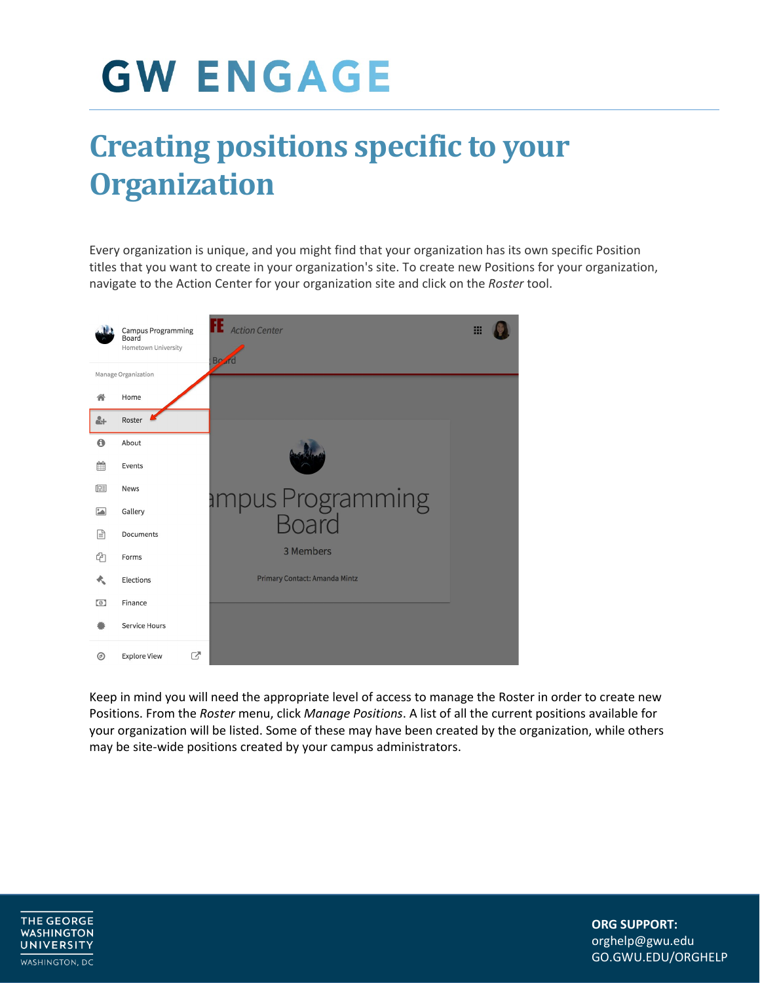### **Creating positions specific to your Organization**

 navigate to the Action Center for your organization site and click on the *Roster* tool. Every organization is unique, and you might find that your organization has its own specific Position titles that you want to create in your organization's site. To create new Positions for your organization,



 Keep in mind you will need the appropriate level of access to manage the Roster in order to create new Positions. From the *Roster* menu, click *Manage Positions*. A list of all the current positions available for your organization will be listed. Some of these may have been created by the organization, while others may be site-wide positions created by your campus administrators.

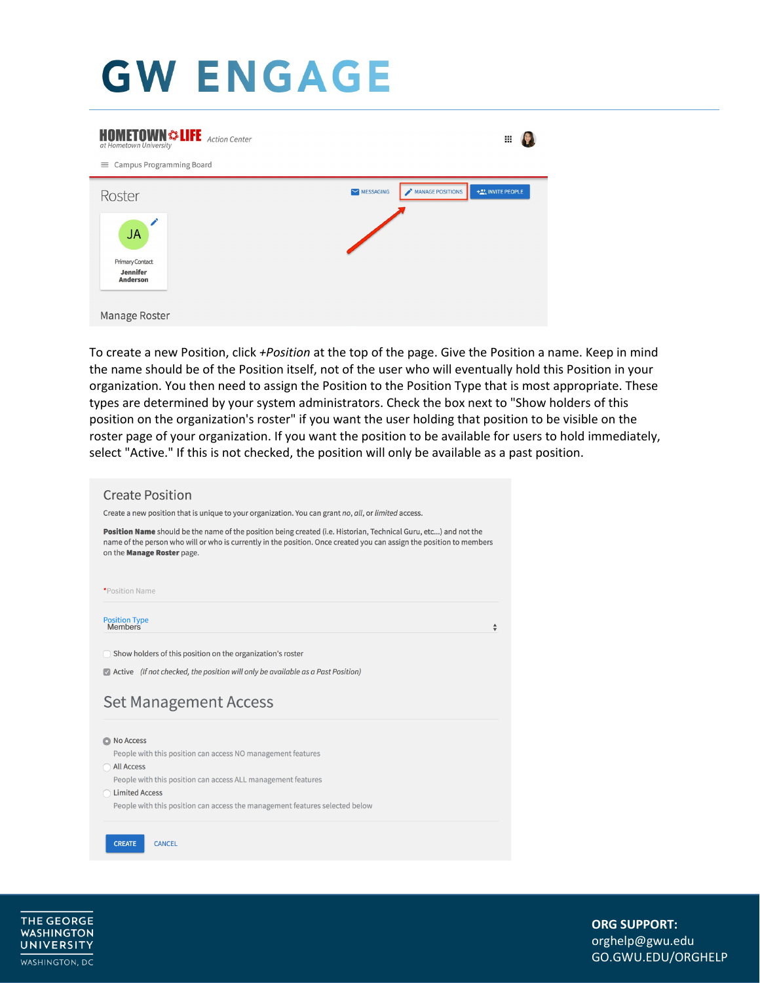| <b>HOMETOWN &amp; LIFE</b> Action Center<br>at Hometown University<br>Campus Programming Board<br>= | ₩                                                  |
|-----------------------------------------------------------------------------------------------------|----------------------------------------------------|
| Roster                                                                                              | MANAGE POSITIONS<br>+2, INVITE PEOPLE<br>MESSAGING |
| <b>JA</b><br>Primary Contact<br><b>Jennifer</b><br><b>Anderson</b>                                  |                                                    |
| Manage Roster                                                                                       |                                                    |

 To create a new Position, click *+Position* at the top of the page. Give the Position a name. Keep in mind the name should be of the Position itself, not of the user who will eventually hold this Position in your organization. You then need to assign the Position to the Position Type that is most appropriate. These types are determined by your system administrators. Check the box next to "Show holders of this roster page of your organization. If you want the position to be available for users to hold immediately, position on the organization's roster" if you want the user holding that position to be visible on the select "Active." If this is not checked, the position will only be available as a past position.

| <b>Create Position</b>                                                                                                                                                                                                                                                 |  |  |  |  |
|------------------------------------------------------------------------------------------------------------------------------------------------------------------------------------------------------------------------------------------------------------------------|--|--|--|--|
| Create a new position that is unique to your organization. You can grant no, all, or limited access.                                                                                                                                                                   |  |  |  |  |
| Position Name should be the name of the position being created (i.e. Historian, Technical Guru, etc) and not the<br>name of the person who will or who is currently in the position. Once created you can assign the position to members<br>on the Manage Roster page. |  |  |  |  |
| *Position Name                                                                                                                                                                                                                                                         |  |  |  |  |
| <b>Position Type</b><br><b>Members</b>                                                                                                                                                                                                                                 |  |  |  |  |
|                                                                                                                                                                                                                                                                        |  |  |  |  |
|                                                                                                                                                                                                                                                                        |  |  |  |  |
| Show holders of this position on the organization's roster                                                                                                                                                                                                             |  |  |  |  |
|                                                                                                                                                                                                                                                                        |  |  |  |  |
|                                                                                                                                                                                                                                                                        |  |  |  |  |
|                                                                                                                                                                                                                                                                        |  |  |  |  |
|                                                                                                                                                                                                                                                                        |  |  |  |  |
|                                                                                                                                                                                                                                                                        |  |  |  |  |
|                                                                                                                                                                                                                                                                        |  |  |  |  |
| People with this position can access NO management features                                                                                                                                                                                                            |  |  |  |  |
| <b>All Access</b>                                                                                                                                                                                                                                                      |  |  |  |  |
| People with this position can access ALL management features                                                                                                                                                                                                           |  |  |  |  |
| $\blacktriangleright$ Active (If not checked, the position will only be available as a Past Position)<br><b>Set Management Access</b><br>O No Access<br><b>Limited Access</b><br>People with this position can access the management features selected below           |  |  |  |  |

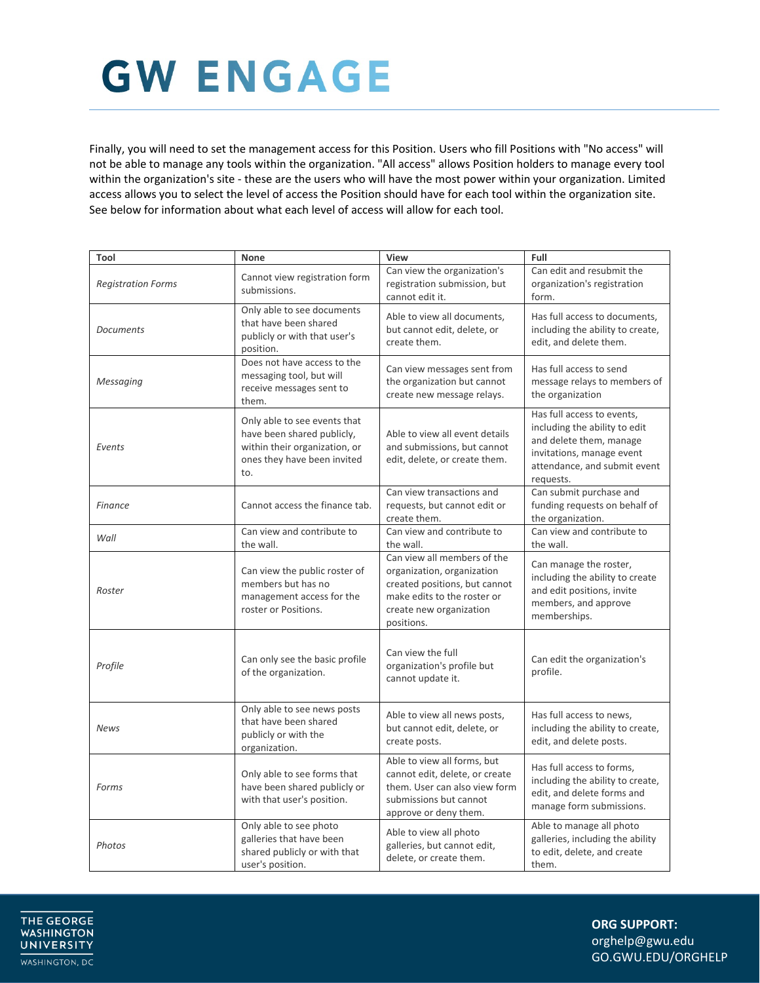Finally, you will need to set the management access for this Position. Users who fill Positions with "No access" will not be able to manage any tools within the organization. "All access" allows Position holders to manage every tool access allows you to select the level of access the Position should have for each tool within the organization site. See below for information about what each level of access will allow for each tool. within the organization's site - these are the users who will have the most power within your organization. Limited

| Tool                      | None                                                                                                                              | View                                                                                                                                                               | Full                                                                                                                                                             |
|---------------------------|-----------------------------------------------------------------------------------------------------------------------------------|--------------------------------------------------------------------------------------------------------------------------------------------------------------------|------------------------------------------------------------------------------------------------------------------------------------------------------------------|
| <b>Registration Forms</b> | Cannot view registration form<br>submissions.                                                                                     | Can view the organization's<br>registration submission, but<br>cannot edit it.                                                                                     | Can edit and resubmit the<br>organization's registration<br>form.                                                                                                |
| <b>Documents</b>          | Only able to see documents<br>that have been shared<br>publicly or with that user's<br>position.                                  | Able to view all documents,<br>but cannot edit, delete, or<br>create them.                                                                                         | Has full access to documents.<br>including the ability to create,<br>edit, and delete them.                                                                      |
| Messaging                 | Does not have access to the<br>messaging tool, but will<br>receive messages sent to<br>them.                                      | Can view messages sent from<br>the organization but cannot<br>create new message relays.                                                                           | Has full access to send<br>message relays to members of<br>the organization                                                                                      |
| Events                    | Only able to see events that<br>have been shared publicly,<br>within their organization, or<br>ones they have been invited<br>to. | Able to view all event details<br>and submissions, but cannot<br>edit, delete, or create them.                                                                     | Has full access to events,<br>including the ability to edit<br>and delete them, manage<br>invitations, manage event<br>attendance, and submit event<br>requests. |
| <b>Finance</b>            | Cannot access the finance tab.                                                                                                    | Can view transactions and<br>requests, but cannot edit or<br>create them.                                                                                          | Can submit purchase and<br>funding requests on behalf of<br>the organization.                                                                                    |
| Wall                      | Can view and contribute to<br>the wall.                                                                                           | Can view and contribute to<br>the wall.                                                                                                                            | Can view and contribute to<br>the wall.                                                                                                                          |
| Roster                    | Can view the public roster of<br>members but has no<br>management access for the<br>roster or Positions.                          | Can view all members of the<br>organization, organization<br>created positions, but cannot<br>make edits to the roster or<br>create new organization<br>positions. | Can manage the roster,<br>including the ability to create<br>and edit positions, invite<br>members, and approve<br>memberships.                                  |
| Profile                   | Can only see the basic profile<br>of the organization.                                                                            | Can view the full<br>organization's profile but<br>cannot update it.                                                                                               | Can edit the organization's<br>profile.                                                                                                                          |
| News                      | Only able to see news posts<br>that have been shared<br>publicly or with the<br>organization.                                     | Able to view all news posts,<br>but cannot edit, delete, or<br>create posts.                                                                                       | Has full access to news,<br>including the ability to create,<br>edit, and delete posts.                                                                          |
| Forms                     | Only able to see forms that<br>have been shared publicly or<br>with that user's position.                                         | Able to view all forms, but<br>cannot edit, delete, or create<br>them. User can also view form<br>submissions but cannot<br>approve or deny them.                  | Has full access to forms,<br>including the ability to create,<br>edit, and delete forms and<br>manage form submissions.                                          |
| Photos                    | Only able to see photo<br>galleries that have been<br>shared publicly or with that<br>user's position.                            | Able to view all photo<br>galleries, but cannot edit,<br>delete, or create them.                                                                                   | Able to manage all photo<br>galleries, including the ability<br>to edit, delete, and create<br>them.                                                             |